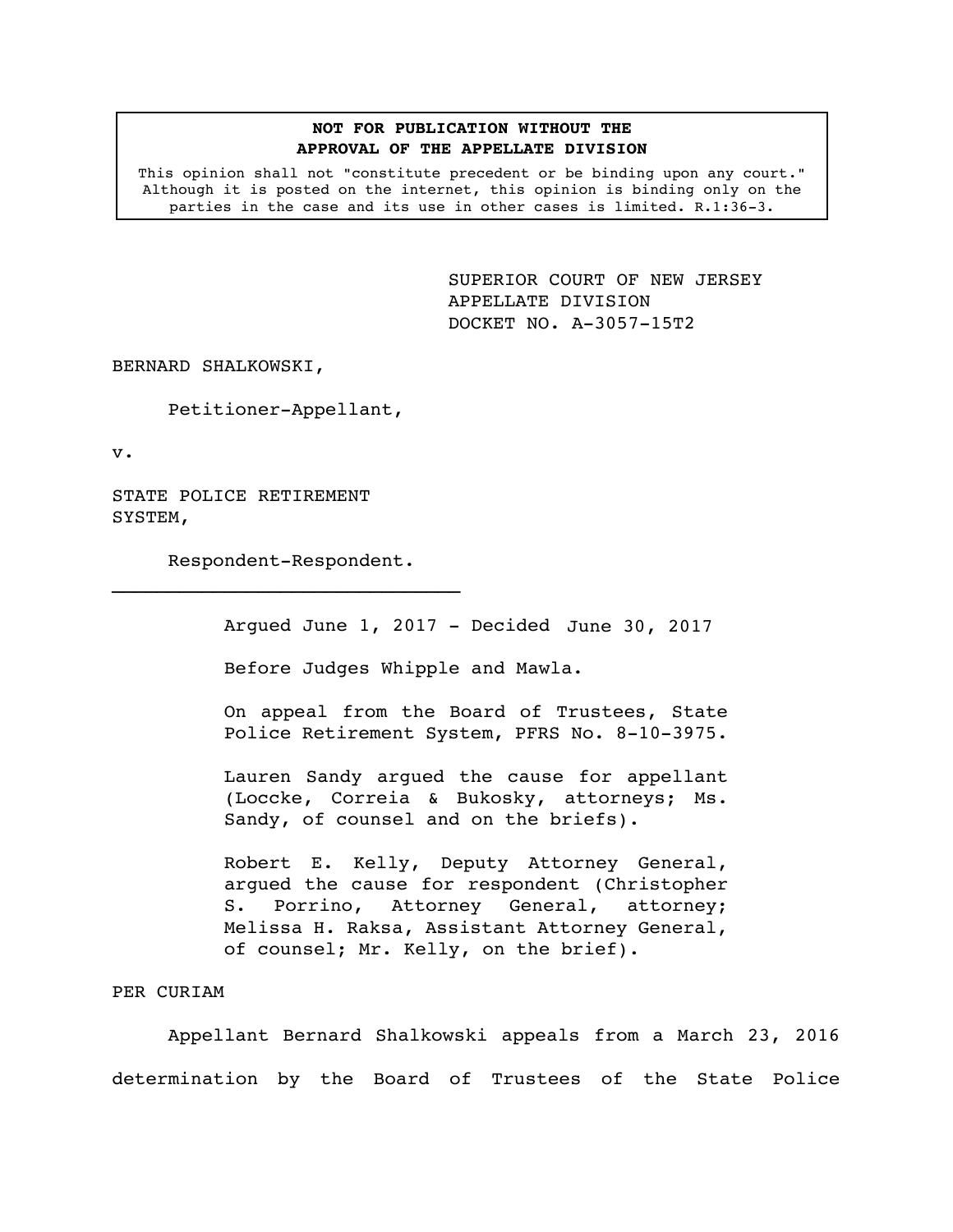## **NOT FOR PUBLICATION WITHOUT THE APPROVAL OF THE APPELLATE DIVISION**

This opinion shall not "constitute precedent or be binding upon any court." Although it is posted on the internet, this opinion is binding only on the parties in the case and its use in other cases is limited. R.1:36-3.

> <span id="page-0-0"></span>SUPERIOR COURT OF NEW JERSEY APPELLATE DIVISION DOCKET NO. A-3057-15T2

BERNARD SHALKOWSKI,

Petitioner-Appellant,

v.

STATE POLICE RETIREMENT SYSTEM,

Respondent-Respondent.

Argued June 1, 2017 - Decided June 30, 2017

Before Judges Whipple and Mawla.

On appeal from the Board of Trustees, State Police Retirement System, PFRS No. 8-10-3975.

Lauren Sandy argued the cause for appellant (Loccke, Correia & Bukosky, attorneys; Ms. Sandy, of counsel and on the briefs).

Robert E. Kelly, Deputy Attorney General, argued the cause for respondent (Christopher S. Porrino, Attorney General, attorney; Melissa H. Raksa, Assistant Attorney General, of counsel; Mr. Kelly, on the brief).

## PER CURIAM

Appellant Bernard Shalkowski appeals from a March 23, 2016 determination by the Board of Trustees of the State Police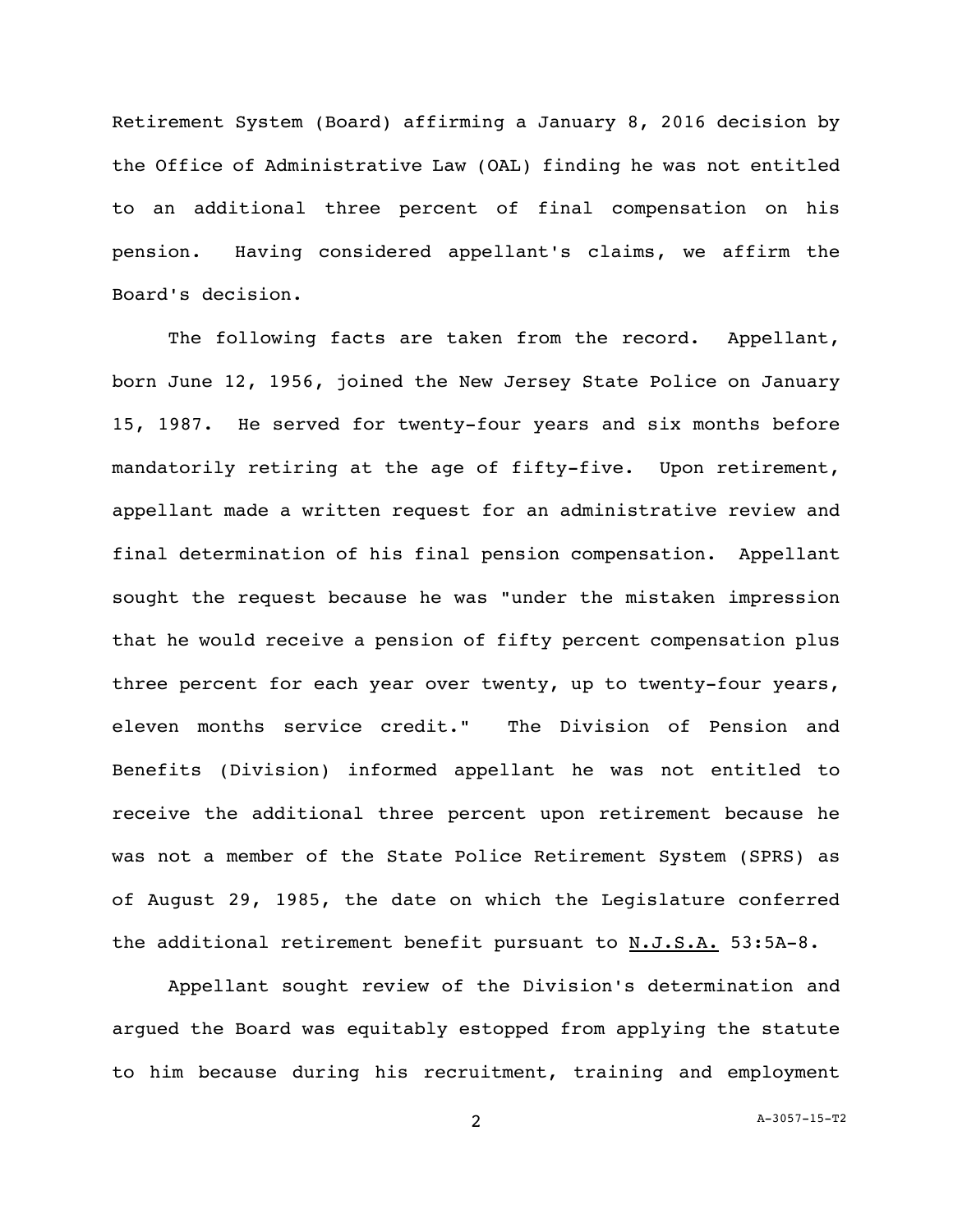Retirement System (Board) affirming a January 8, 2016 decision by the Office of Administrative Law (OAL) finding he was not entitled to an additional three percent of final compensation on his pension. Having considered appellant's claims, we affirm the Board's decision.

The following facts are taken from the record. Appellant, born June 12, 1956, joined the New Jersey State Police on January 15, 1987. He served for twenty-four years and six months before mandatorily retiring at the age of fifty-five. Upon retirement, appellant made a written request for an administrative review and final determination of his final pension compensation. Appellant sought the request because he was "under the mistaken impression that he would receive a pension of fifty percent compensation plus three percent for each year over twenty, up to twenty-four years, eleven months service credit." The Division of Pension and Benefits (Division) informed appellant he was not entitled to receive the additional three percent upon retirement because he was not a member of the State Police Retirement System (SPRS) as of August 29, 1985, the date on which the Legislature conferred the additional retirement benefit pursuant to N.J.S.A. 53:5A-8.

Appellant sought review of the Division's determination and argued the Board was equitably estopped from applying the statute to him because during his recruitment, training and employment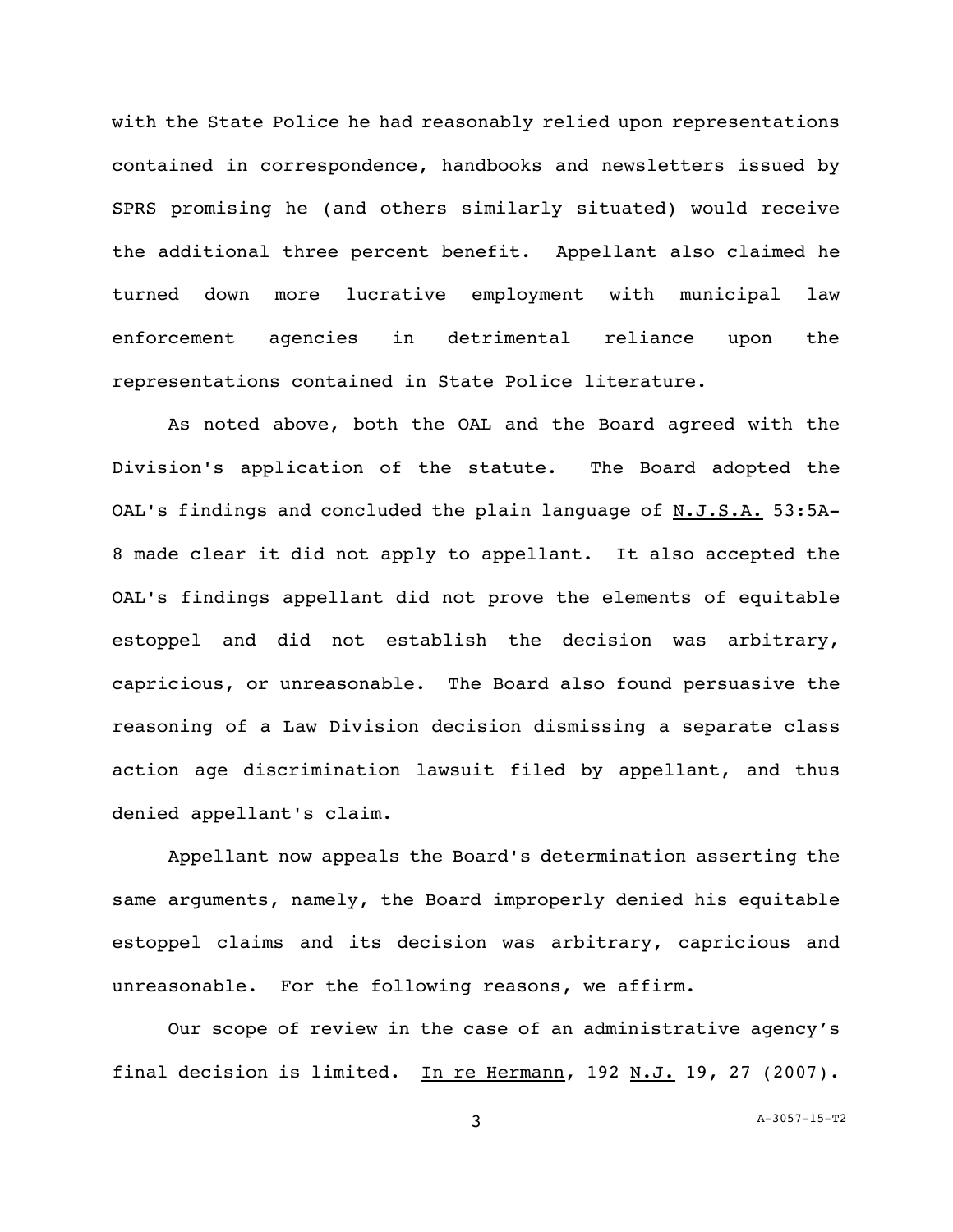with the State Police he had reasonably relied upon representations contained in correspondence, handbooks and newsletters issued by SPRS promising he (and others similarly situated) would receive the additional three percent benefit. Appellant also claimed he turned down more lucrative employment with municipal law enforcement agencies in detrimental reliance upon the representations contained in State Police literature.

As noted above, both the OAL and the Board agreed with the Division's application of the statute. The Board adopted the OAL's findings and concluded the plain language of  $N.J.S.A.$  53:5A-8 made clear it did not apply to appellant. It also accepted the OAL's findings appellant did not prove the elements of equitable estoppel and did not establish the decision was arbitrary, capricious, or unreasonable. The Board also found persuasive the reasoning of a Law Division decision dismissing a separate class action age discrimination lawsuit filed by appellant, and thus denied appellant's claim.

Appellant now appeals the Board's determination asserting the same arguments, namely, the Board improperly denied his equitable estoppel claims and its decision was arbitrary, capricious and unreasonable. For the following reasons, we affirm.

Our scope of review in the case of an administrative agency's final decision is limited. In re Hermann, 192 N.J. 19, 27 (2007).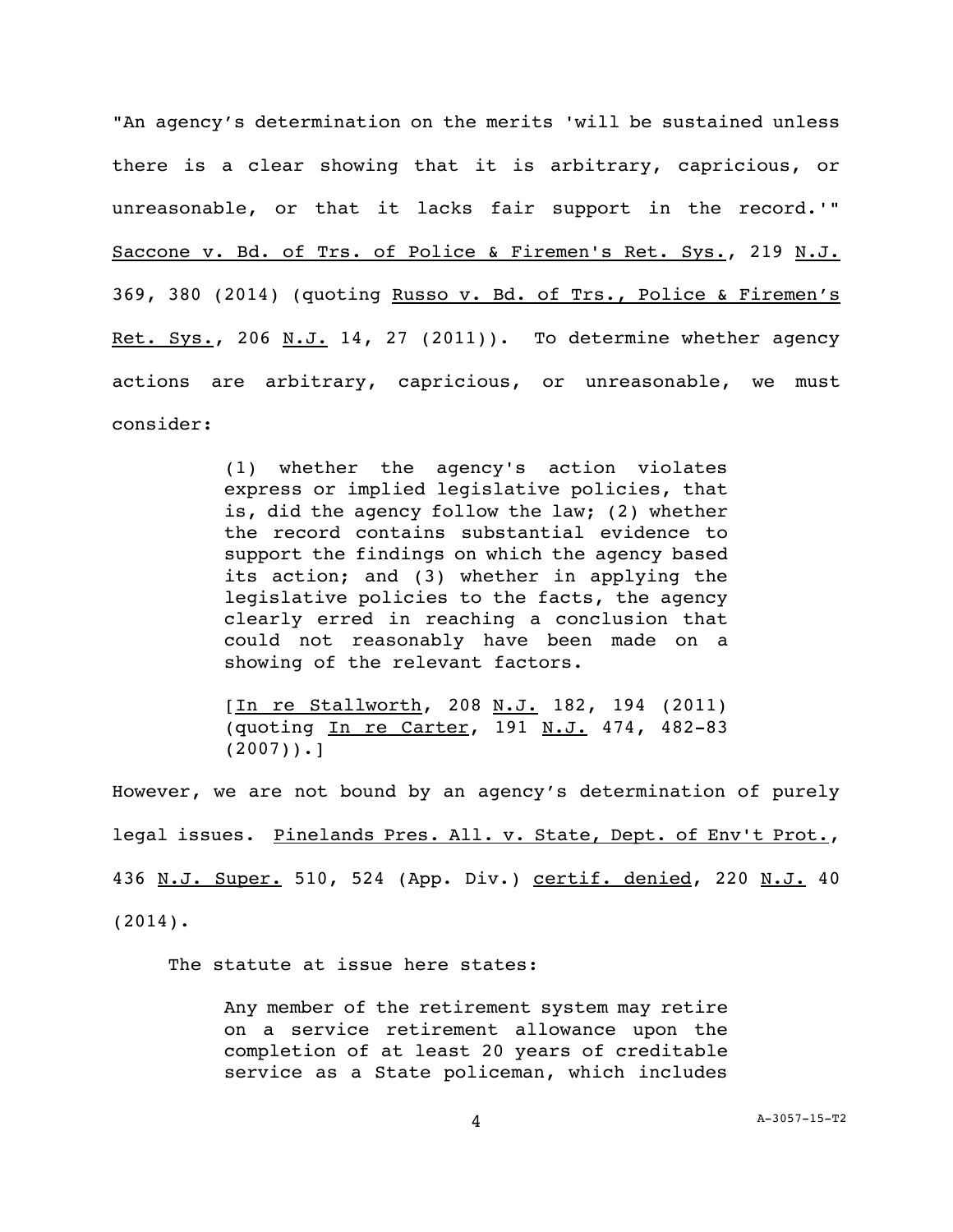"An agency's determination on the merits 'will be sustained unless there is a clear showing that it is arbitrary, capricious, or unreasonable, or that it lacks fair support in the record.'" Saccone v. Bd. of Trs. of Police & Firemen's Ret. Sys., 219 N.J. 369, 380 (2014) (quoting Russo v. Bd. of Trs., Police & Firemen's Ret. Sys., 206  $N.J. 14$ , 27 (2011)). To determine whether agency actions are arbitrary, capricious, or unreasonable, we must consider:

> (1) whether the agency's action violates express or implied legislative policies, that is, did the agency follow the law; (2) whether the record contains substantial evidence to support the findings on which the agency based its action; and (3) whether in applying the legislative policies to the facts, the agency clearly erred in reaching a conclusion that could not reasonably have been made on a showing of the relevant factors.

> [In re Stallworth, 208 N.J. 182, 194 (2011) (quoting In re Carter, 191 N.J. 474, 482-83  $(2007)$ .]

However, we are not bound by an agency's determination of purely legal issues. Pinelands Pres. All. v. State, Dept. of Env't Prot., 436 N.J. Super. 510, 524 (App. Div.) certif. denied, 220 N.J. 40 (2014).

The statute at issue here states:

Any member of the retirement system may retire on a service retirement allowance upon the completion of at least 20 years of creditable service as a State policeman, which includes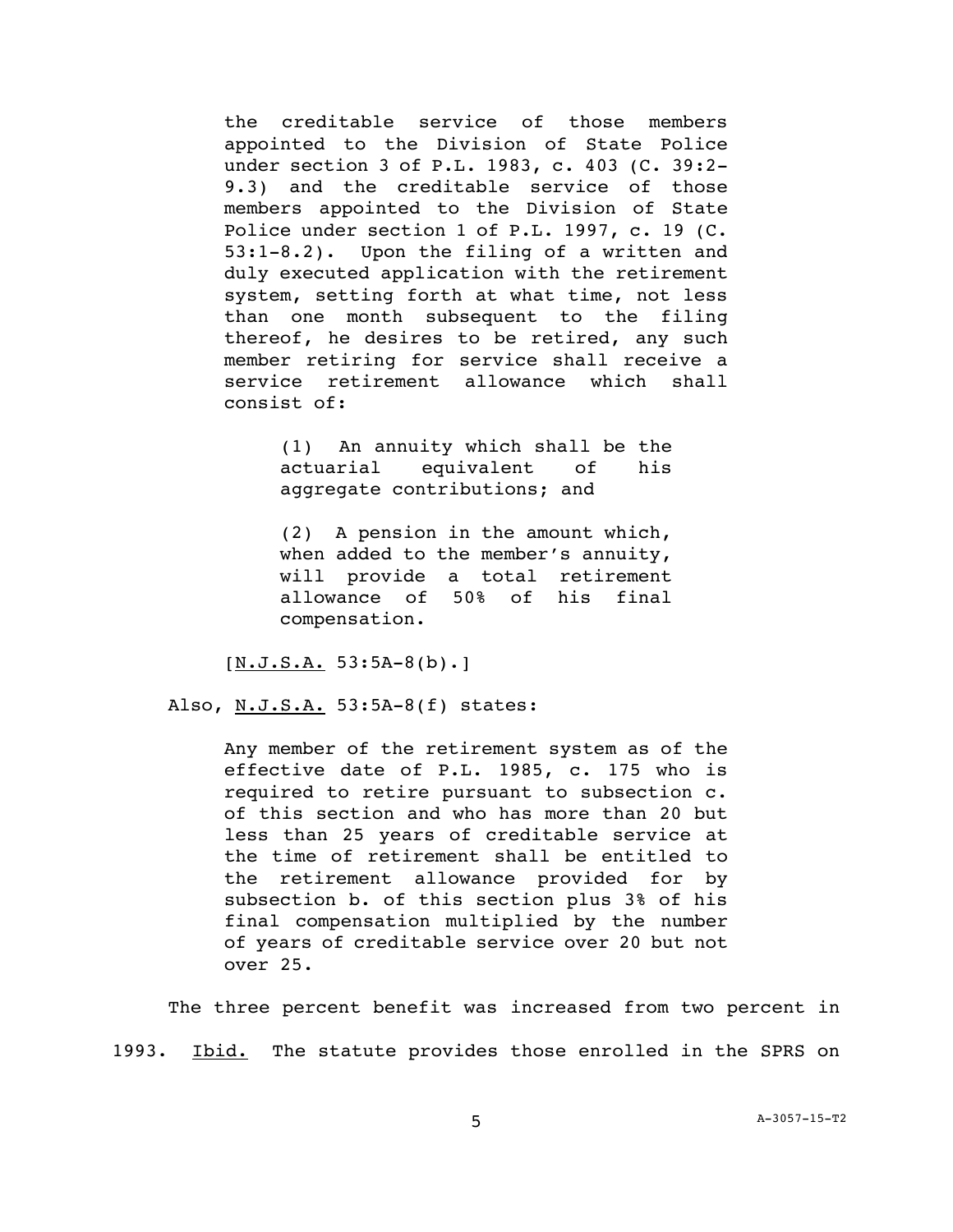the creditable service of those members appointed to the Division of State Police under section 3 of P.L. 1983, c. 403 (C. 39:2- 9.3) and the creditable service of those members appointed to the Division of State Police under section 1 of P.L. 1997, c. 19 (C. 53:1-8.2). Upon the filing of a written and duly executed application with the retirement system, setting forth at what time, not less than one month subsequent to the filing thereof, he desires to be retired, any such member retiring for service shall receive a service retirement allowance which shall consist of:

> (1)An annuity which shall be the actuarial equivalent of his aggregate contributions; and

> (2)A pension in the amount which, when added to the member's annuity, will provide a total retirement allowance of 50% of his final compensation.

 $[N.J.S.A. 53:5A-8(b).]$ 

Also, N.J.S.A. 53:5A-8(f) states:

Any member of the retirement system as of the effective date of P.L. 1985, c. 175 who is required to retire pursuant to subsection c. of this section and who has more than 20 but less than 25 years of creditable service at the time of retirement shall be entitled to the retirement allowance provided for by subsection b. of this section plus 3% of his final compensation multiplied by the number of years of creditable service over 20 but not over 25.

The three percent benefit was increased from two percent in 1993. Ibid. The statute provides those enrolled in the SPRS on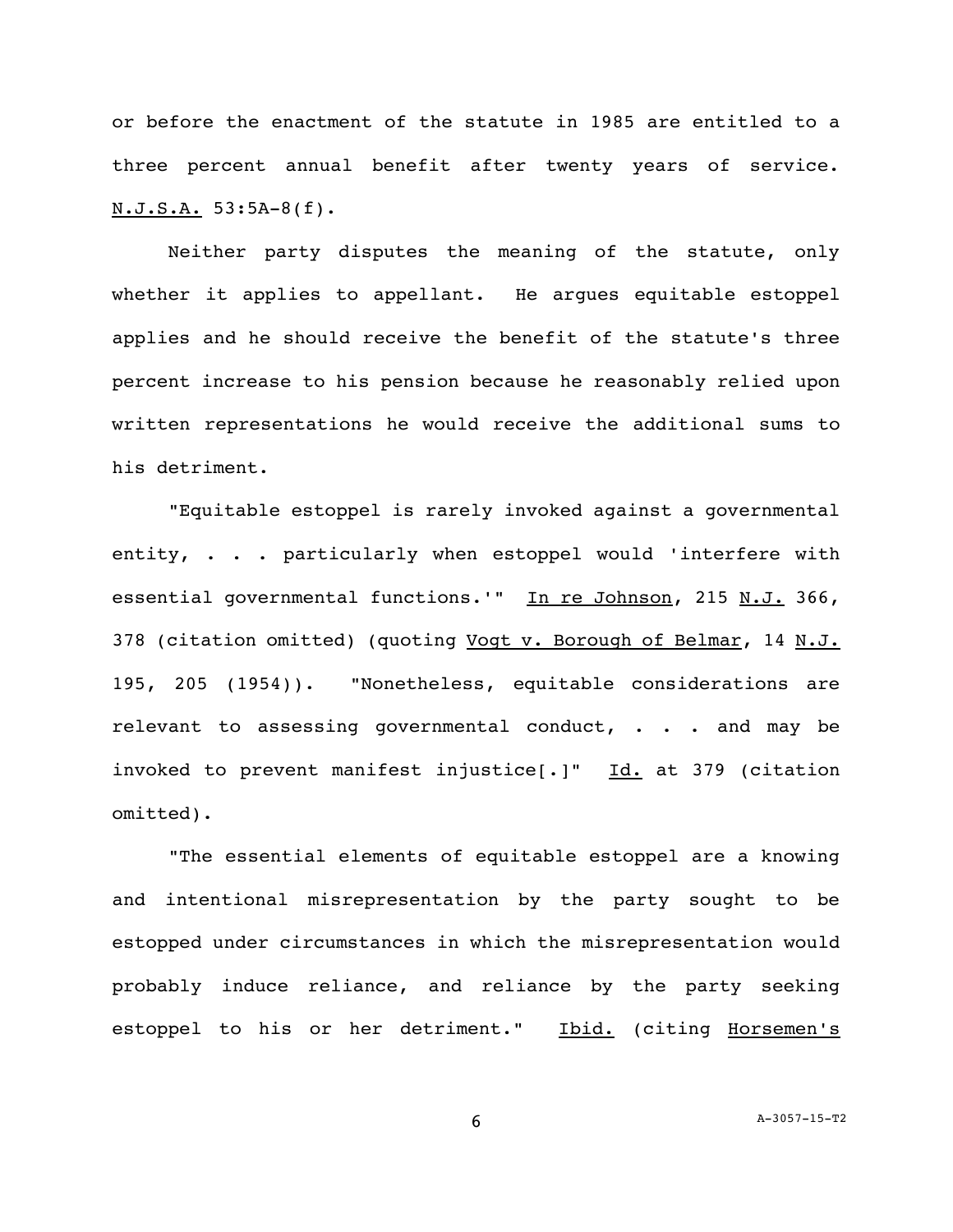or before the enactment of the statute in 1985 are entitled to a three percent annual benefit after twenty years of service. N.J.S.A. 53:5A-8(f).

Neither party disputes the meaning of the statute, only whether it applies to appellant. He argues equitable estoppel applies and he should receive the benefit of the statute's three percent increase to his pension because he reasonably relied upon written representations he would receive the additional sums to his detriment.

"Equitable estoppel is rarely invoked against a governmental entity, . . . particularly when estoppel would 'interfere with essential governmental functions.'" In re Johnson, 215 N.J. 366, 378 (citation omitted) (quoting Vogt v. Borough of Belmar, 14 N.J. 195, 205 (1954)). "Nonetheless, equitable considerations are relevant to assessing governmental conduct, . . . and may be invoked to prevent manifest injustice[.]" Id. at 379 (citation omitted).

"The essential elements of equitable estoppel are a knowing and intentional misrepresentation by the party sought to be estopped under circumstances in which the misrepresentation would probably induce reliance, and reliance by the party seeking estoppel to his or her detriment." Ibid. (citing Horsemen's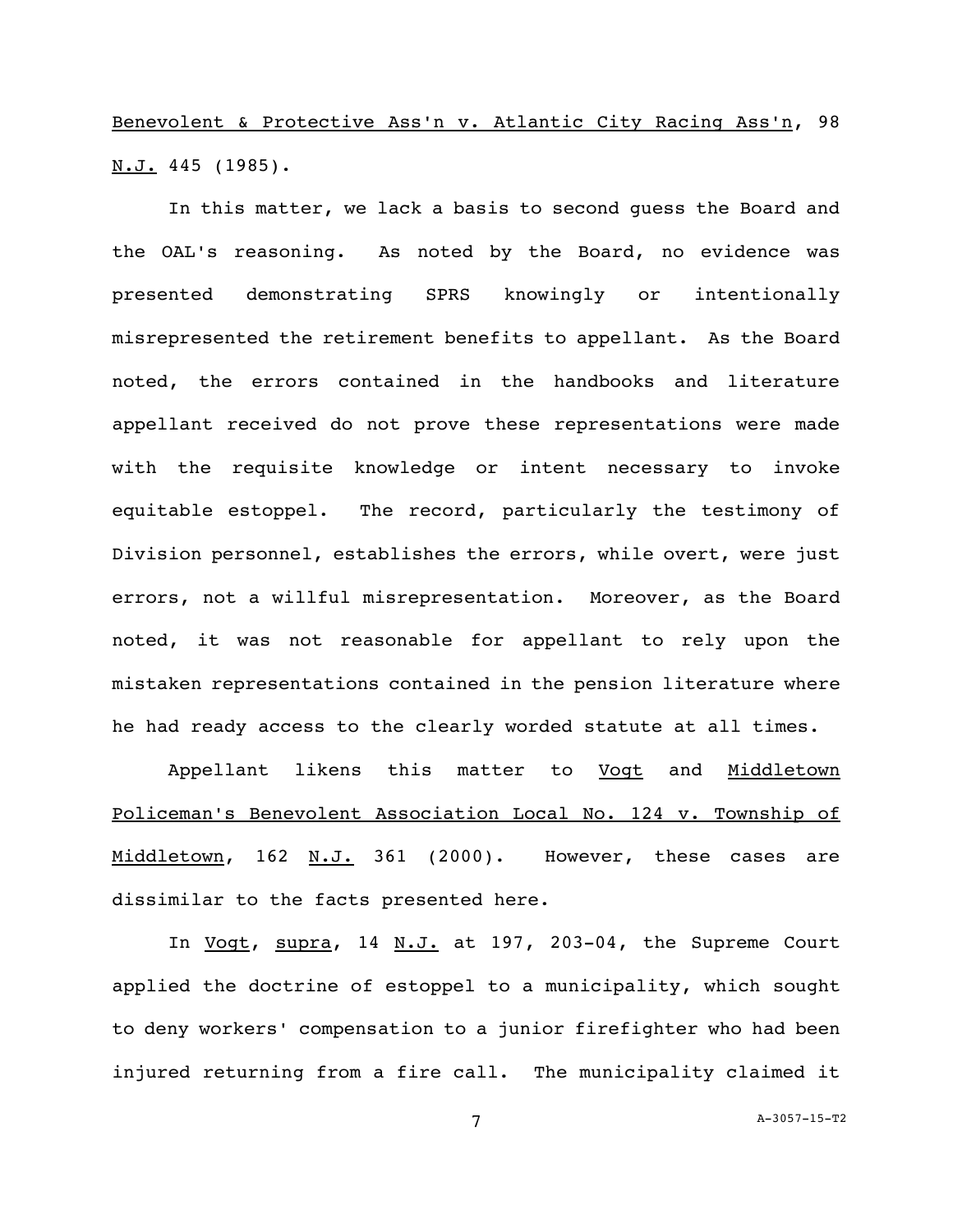Benevolent & Protective Ass'n v. Atlantic City Racing Ass'n, 98  $N.J. 445 (1985)$ .

In this matter, we lack a basis to second guess the Board and the OAL's reasoning. As noted by the Board, no evidence was presented demonstrating SPRS knowingly or intentionally misrepresented the retirement benefits to appellant. As the Board noted, the errors contained in the handbooks and literature appellant received do not prove these representations were made with the requisite knowledge or intent necessary to invoke equitable estoppel. The record, particularly the testimony of Division personnel, establishes the errors, while overt, were just errors, not a willful misrepresentation. Moreover, as the Board noted, it was not reasonable for appellant to rely upon the mistaken representations contained in the pension literature where he had ready access to the clearly worded statute at all times.

Appellant likens this matter to Vogt and Middletown Policeman's Benevolent Association Local No. 124 v. Township of Middletown, 162 N.J. 361 (2000). However, these cases are dissimilar to the facts presented here.

In Vogt, supra, 14 N.J. at 197, 203-04, the Supreme Court applied the doctrine of estoppel to a municipality, which sought to deny workers' compensation to a junior firefighter who had been injured returning from a fire call. The municipality claimed it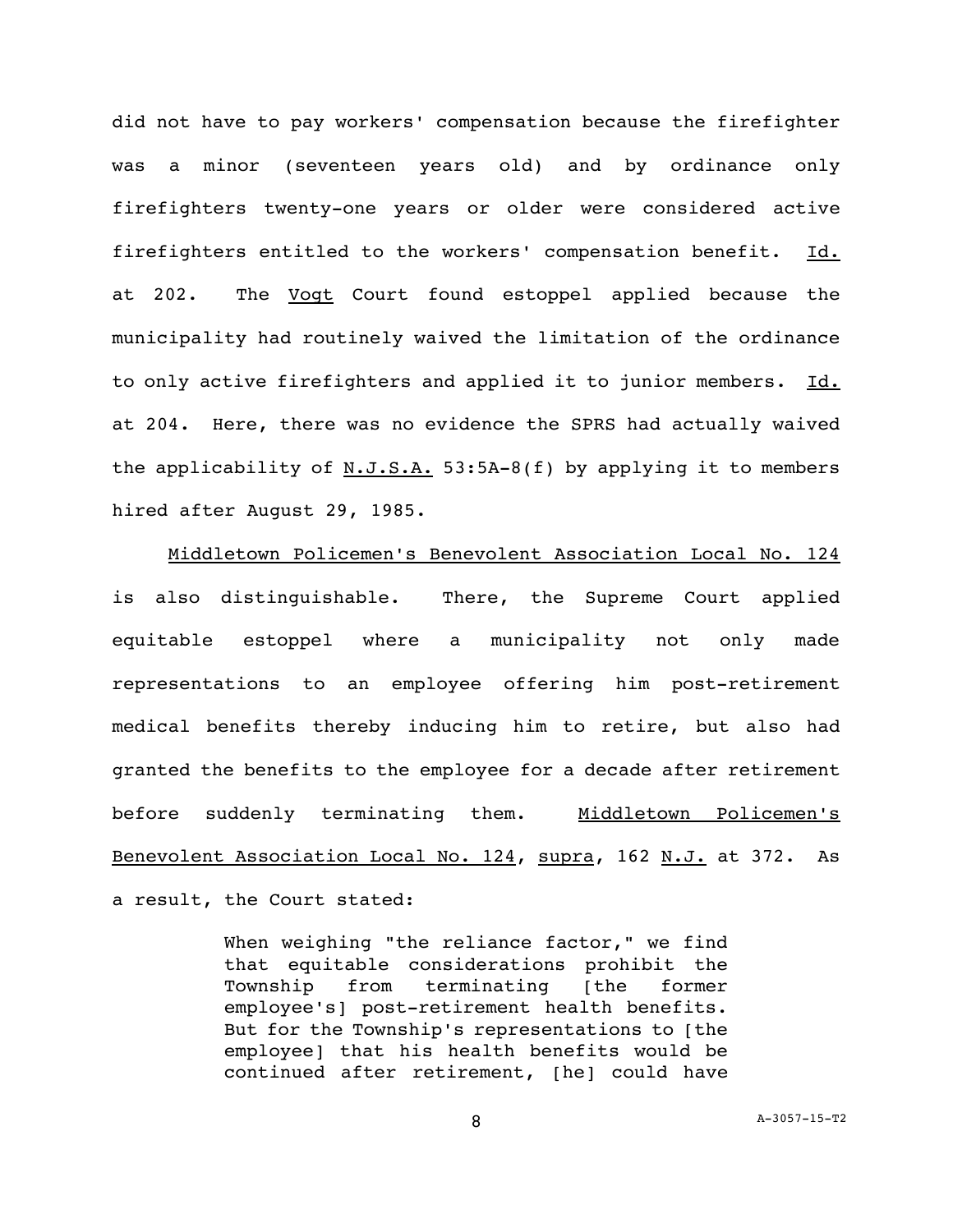did not have to pay workers' compensation because the firefighter was a minor (seventeen years old) and by ordinance only firefighters twenty-one years or older were considered active firefighters entitled to the workers' compensation benefit. Id. at 202. The **Vogt** Court found estoppel applied because the municipality had routinely waived the limitation of the ordinance to only active firefighters and applied it to junior members. Id. at 204. Here, there was no evidence the SPRS had actually waived the applicability of  $N.J.S.A. 53:5A-8(f)$  by applying it to members hired after August 29, 1985.

Middletown Policemen's Benevolent Association Local No. 124 is also distinguishable. There, the Supreme Court applied equitable estoppel where a municipality not only made representations to an employee offering him post-retirement medical benefits thereby inducing him to retire, but also had granted the benefits to the employee for a decade after retirement before suddenly terminating them. Middletown Policemen's Benevolent Association Local No. 124, supra, 162 N.J. at 372. As a result, the Court stated:

> When weighing "the reliance factor," we find that equitable considerations prohibit the Township from terminating [the former employee's] post-retirement health benefits. But for the Township's representations to [the employee] that his health benefits would be continued after retirement, [he] could have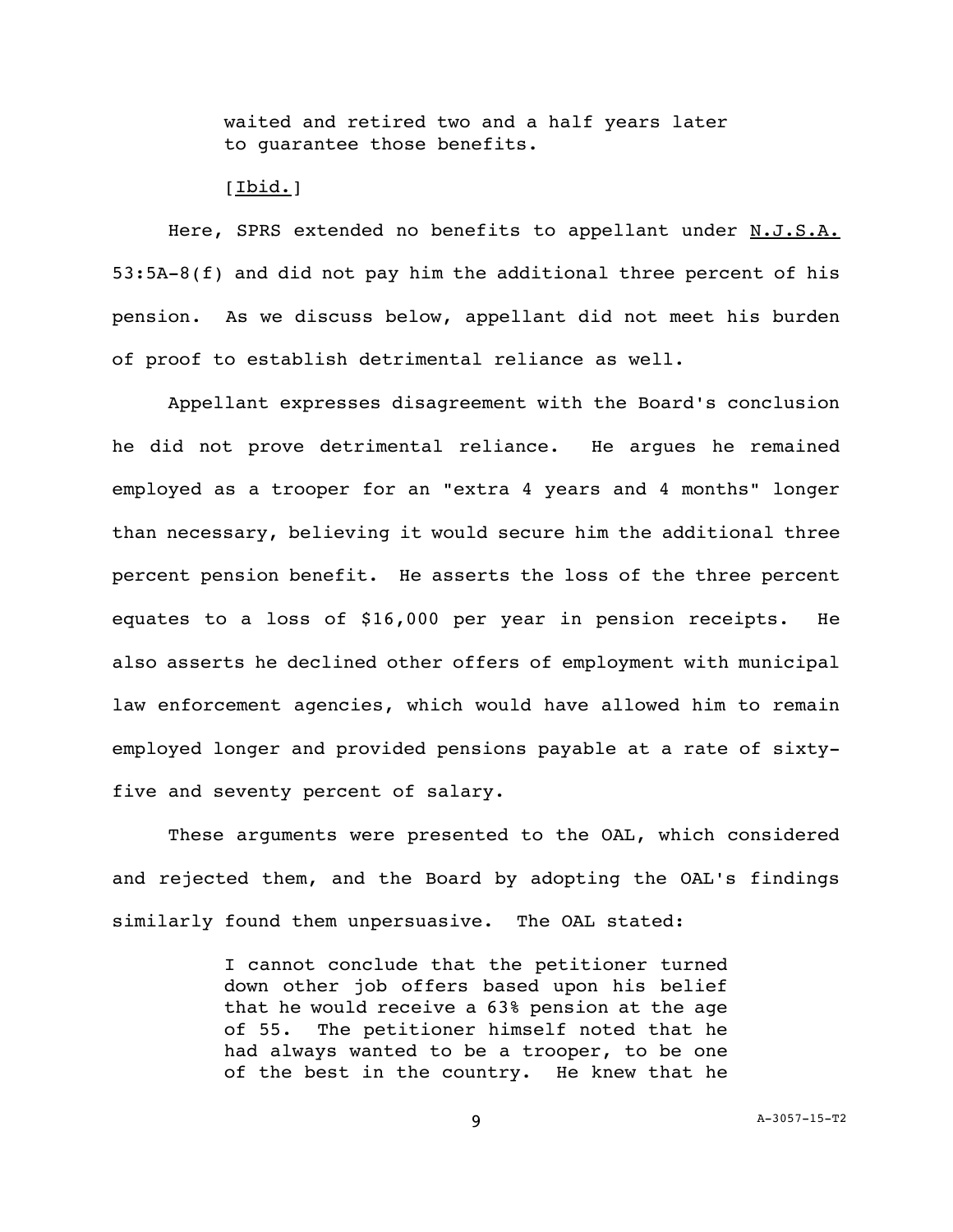waited and retired two and a half years later to guarantee those benefits.

## [Ibid.]

Here, SPRS extended no benefits to appellant under N.J.S.A. 53:5A-8(f) and did not pay him the additional three percent of his pension. As we discuss below, appellant did not meet his burden of proof to establish detrimental reliance as well.

Appellant expresses disagreement with the Board's conclusion he did not prove detrimental reliance. He argues he remained employed as a trooper for an "extra 4 years and 4 months" longer than necessary, believing it would secure him the additional three percent pension benefit. He asserts the loss of the three percent equates to a loss of \$16,000 per year in pension receipts. He also asserts he declined other offers of employment with municipal law enforcement agencies, which would have allowed him to remain employed longer and provided pensions payable at a rate of sixtyfive and seventy percent of salary.

These arguments were presented to the OAL, which considered and rejected them, and the Board by adopting the OAL's findings similarly found them unpersuasive. The OAL stated:

> I cannot conclude that the petitioner turned down other job offers based upon his belief that he would receive a 63% pension at the age of 55. The petitioner himself noted that he had always wanted to be a trooper, to be one of the best in the country. He knew that he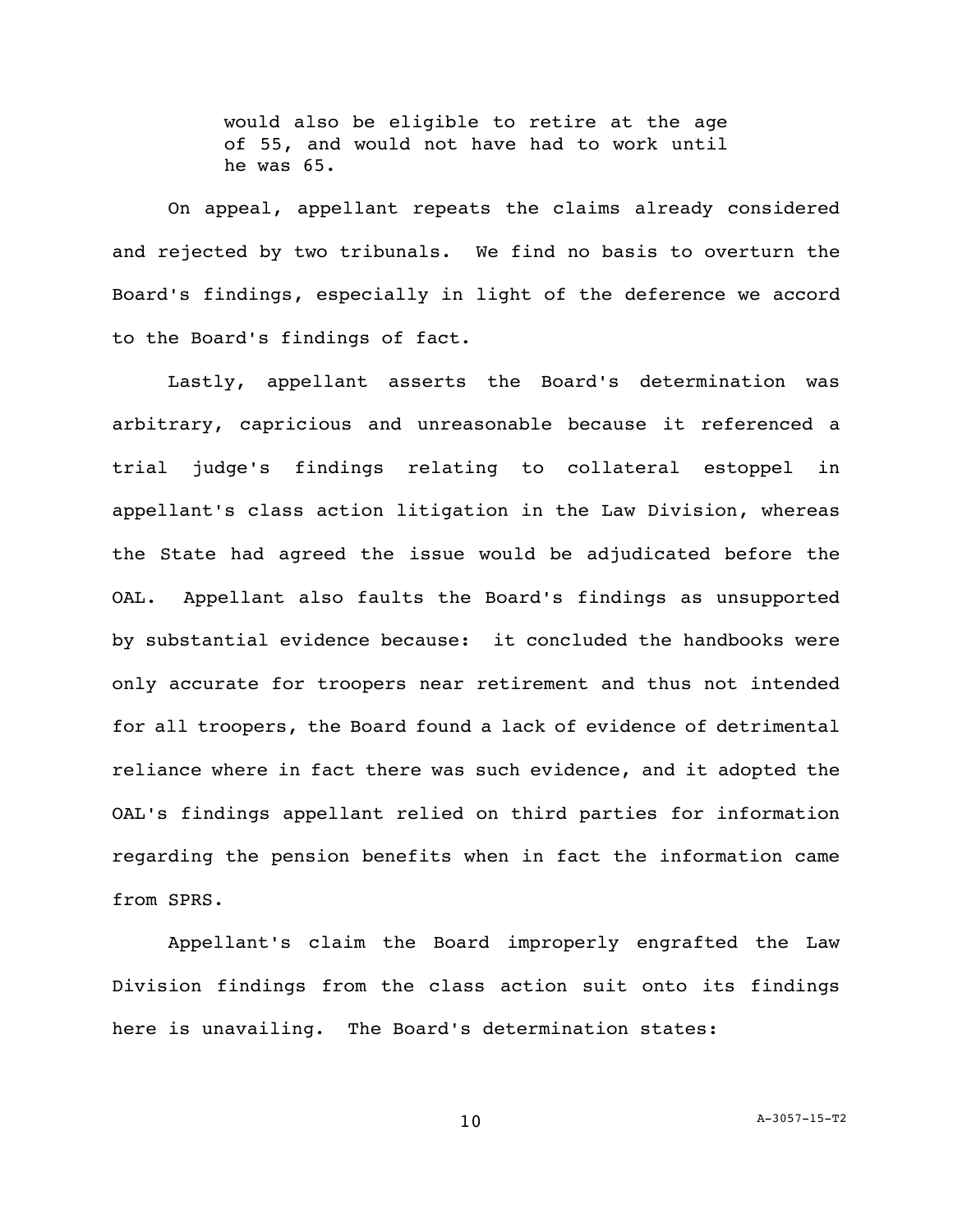would also be eligible to retire at the age of 55, and would not have had to work until he was 65.

On appeal, appellant repeats the claims already considered and rejected by two tribunals. We find no basis to overturn the Board's findings, especially in light of the deference we accord to the Board's findings of fact.

Lastly, appellant asserts the Board's determination was arbitrary, capricious and unreasonable because it referenced a trial judge's findings relating to collateral estoppel in appellant's class action litigation in the Law Division, whereas the State had agreed the issue would be adjudicated before the OAL. Appellant also faults the Board's findings as unsupported by substantial evidence because: it concluded the handbooks were only accurate for troopers near retirement and thus not intended for all troopers, the Board found a lack of evidence of detrimental reliance where in fact there was such evidence, and it adopted the OAL's findings appellant relied on third parties for information regarding the pension benefits when in fact the information came from SPRS.

Appellant's claim the Board improperly engrafted the Law Division findings from the class action suit onto its findings here is unavailing. The Board's determination states: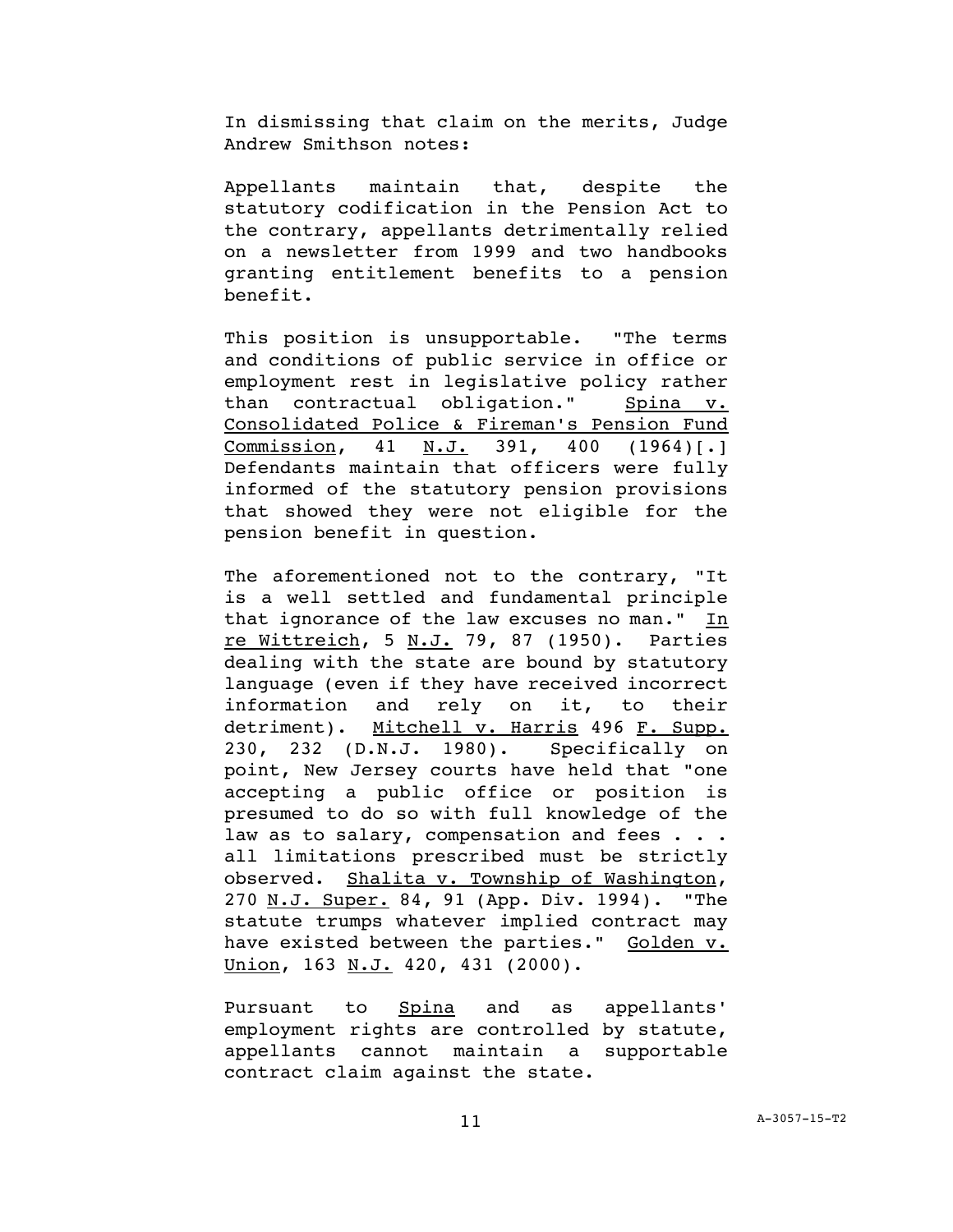In dismissing that claim on the merits, Judge Andrew Smithson notes:

Appellants maintain that, despite the statutory codification in the Pension Act to the contrary, appellants detrimentally relied on a newsletter from 1999 and two handbooks granting entitlement benefits to a pension benefit.

This position is unsupportable. "The terms and conditions of public service in office or employment rest in legislative policy rather than contractual obligation." Spina v. Consolidated Police & Fireman's Pension Fund Commission, 41 N.J. 391, 400 (1964)[.] Defendants maintain that officers were fully informed of the statutory pension provisions that showed they were not eligible for the pension benefit in question.

The aforementioned not to the contrary, "It is a well settled and fundamental principle that ignorance of the law excuses no man." In re Wittreich, 5 N.J. 79, 87 (1950). Parties dealing with the state are bound by statutory language (even if they have received incorrect information and rely on it, to their detriment). Mitchell v. Harris 496 F. Supp. 230, 232 (D.N.J. 1980). Specifically on point, New Jersey courts have held that "one accepting a public office or position is presumed to do so with full knowledge of the law as to salary, compensation and fees . . . all limitations prescribed must be strictly observed. Shalita v. Township of Washington, 270 N.J. Super. 84, 91 (App. Div. 1994). "The statute trumps whatever implied contract may have existed between the parties." Golden v. Union, 163 N.J. 420, 431 (2000).

Pursuant to Spina and as appellants' employment rights are controlled by statute, appellants cannot maintain a supportable contract claim against the state.